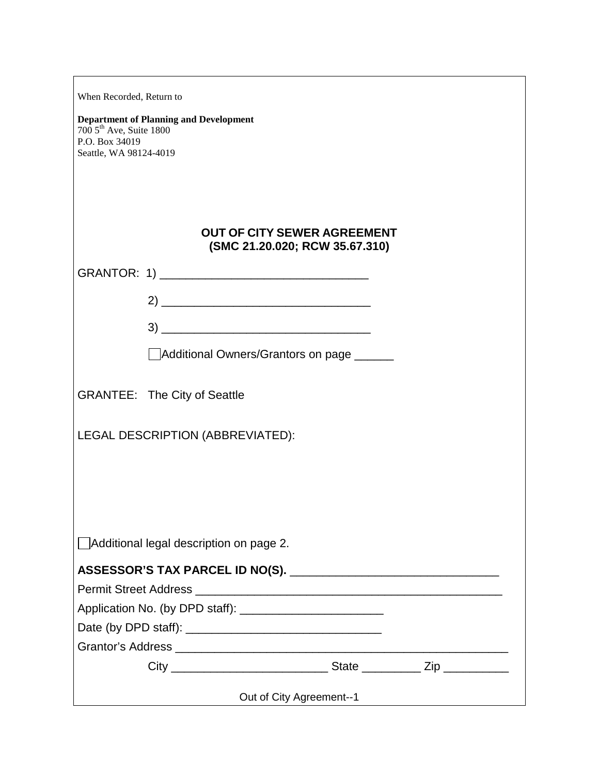| When Recorded, Return to                                                                                                          |                                                                      |
|-----------------------------------------------------------------------------------------------------------------------------------|----------------------------------------------------------------------|
| <b>Department of Planning and Development</b><br>$7005$ <sup>th</sup> Ave, Suite 1800<br>P.O. Box 34019<br>Seattle, WA 98124-4019 |                                                                      |
|                                                                                                                                   |                                                                      |
|                                                                                                                                   |                                                                      |
|                                                                                                                                   | <b>OUT OF CITY SEWER AGREEMENT</b><br>(SMC 21.20.020; RCW 35.67.310) |
|                                                                                                                                   |                                                                      |
|                                                                                                                                   | $2) \underline{\hspace{2cm}}$                                        |
|                                                                                                                                   |                                                                      |
|                                                                                                                                   | Additional Owners/Grantors on page                                   |
| <b>GRANTEE: The City of Seattle</b>                                                                                               |                                                                      |
|                                                                                                                                   | LEGAL DESCRIPTION (ABBREVIATED):                                     |
|                                                                                                                                   |                                                                      |
|                                                                                                                                   |                                                                      |
|                                                                                                                                   |                                                                      |
|                                                                                                                                   | Additional legal description on page 2.                              |
|                                                                                                                                   |                                                                      |
|                                                                                                                                   |                                                                      |
|                                                                                                                                   |                                                                      |
|                                                                                                                                   |                                                                      |
|                                                                                                                                   |                                                                      |
|                                                                                                                                   |                                                                      |
|                                                                                                                                   | Out of City Agreement--1                                             |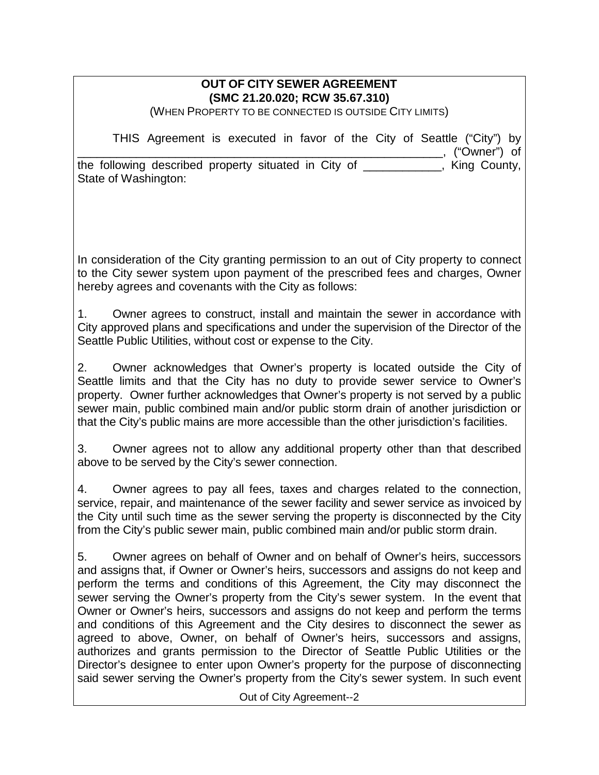## **OUT OF CITY SEWER AGREEMENT (SMC 21.20.020; RCW 35.67.310)**

(WHEN PROPERTY TO BE CONNECTED IS OUTSIDE CITY LIMITS)

|                                                      | THIS Agreement is executed in favor of the City of Seattle ("City") by |  |  |  |  |                 |  |
|------------------------------------------------------|------------------------------------------------------------------------|--|--|--|--|-----------------|--|
|                                                      |                                                                        |  |  |  |  | _, ("Owner") of |  |
| the following described property situated in City of |                                                                        |  |  |  |  | King County,    |  |
| State of Washington:                                 |                                                                        |  |  |  |  |                 |  |

In consideration of the City granting permission to an out of City property to connect to the City sewer system upon payment of the prescribed fees and charges, Owner hereby agrees and covenants with the City as follows:

1. Owner agrees to construct, install and maintain the sewer in accordance with City approved plans and specifications and under the supervision of the Director of the Seattle Public Utilities, without cost or expense to the City.

2. Owner acknowledges that Owner's property is located outside the City of Seattle limits and that the City has no duty to provide sewer service to Owner's property. Owner further acknowledges that Owner's property is not served by a public sewer main, public combined main and/or public storm drain of another jurisdiction or that the City's public mains are more accessible than the other jurisdiction's facilities.

3. Owner agrees not to allow any additional property other than that described above to be served by the City's sewer connection.

4. Owner agrees to pay all fees, taxes and charges related to the connection, service, repair, and maintenance of the sewer facility and sewer service as invoiced by the City until such time as the sewer serving the property is disconnected by the City from the City's public sewer main, public combined main and/or public storm drain.

5. Owner agrees on behalf of Owner and on behalf of Owner's heirs, successors and assigns that, if Owner or Owner's heirs, successors and assigns do not keep and perform the terms and conditions of this Agreement, the City may disconnect the sewer serving the Owner's property from the City's sewer system. In the event that Owner or Owner's heirs, successors and assigns do not keep and perform the terms and conditions of this Agreement and the City desires to disconnect the sewer as agreed to above, Owner, on behalf of Owner's heirs, successors and assigns, authorizes and grants permission to the Director of Seattle Public Utilities or the Director's designee to enter upon Owner's property for the purpose of disconnecting said sewer serving the Owner's property from the City's sewer system. In such event

Out of City Agreement--2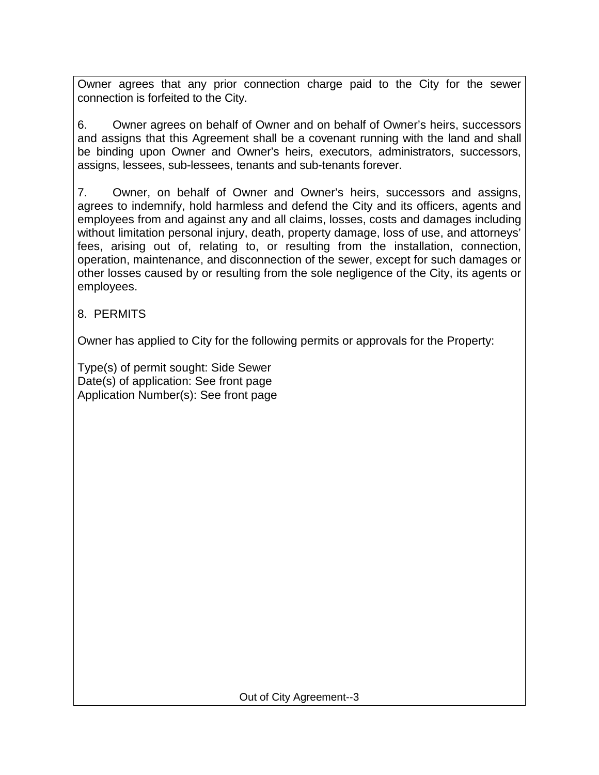Owner agrees that any prior connection charge paid to the City for the sewer connection is forfeited to the City.

6. Owner agrees on behalf of Owner and on behalf of Owner's heirs, successors and assigns that this Agreement shall be a covenant running with the land and shall be binding upon Owner and Owner's heirs, executors, administrators, successors, assigns, lessees, sub-lessees, tenants and sub-tenants forever.

7. Owner, on behalf of Owner and Owner's heirs, successors and assigns, agrees to indemnify, hold harmless and defend the City and its officers, agents and employees from and against any and all claims, losses, costs and damages including without limitation personal injury, death, property damage, loss of use, and attorneys' fees, arising out of, relating to, or resulting from the installation, connection, operation, maintenance, and disconnection of the sewer, except for such damages or other losses caused by or resulting from the sole negligence of the City, its agents or employees.

## 8. PERMITS

Owner has applied to City for the following permits or approvals for the Property:

Type(s) of permit sought: Side Sewer Date(s) of application: See front page Application Number(s): See front page

Out of City Agreement--3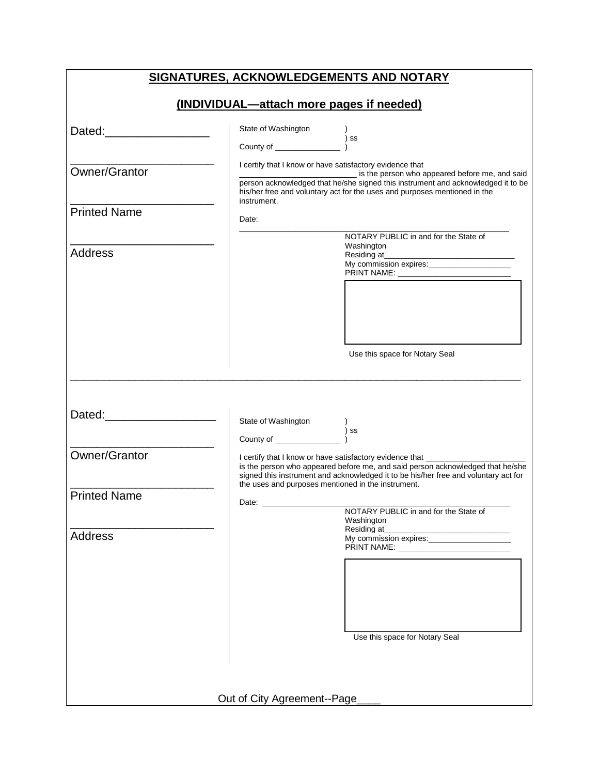| SIGNATURES, ACKNOWLEDGEMENTS AND NOTARY  |                                                          |                                                                                                                                                                                                                                               |  |  |  |  |  |
|------------------------------------------|----------------------------------------------------------|-----------------------------------------------------------------------------------------------------------------------------------------------------------------------------------------------------------------------------------------------|--|--|--|--|--|
| (INDIVIDUAL-attach more pages if needed) |                                                          |                                                                                                                                                                                                                                               |  |  |  |  |  |
| Dated: Dated:                            | State of Washington                                      | ) ss                                                                                                                                                                                                                                          |  |  |  |  |  |
| Owner/Grantor                            | I certify that I know or have satisfactory evidence that | is the person who appeared before me, and said<br>person acknowledged that he/she signed this instrument and acknowledged it to be<br>his/her free and voluntary act for the uses and purposes mentioned in the                               |  |  |  |  |  |
| <b>Printed Name</b>                      | instrument.<br>Date:                                     |                                                                                                                                                                                                                                               |  |  |  |  |  |
| <b>Address</b>                           |                                                          | NOTARY PUBLIC in and for the State of<br>Washington                                                                                                                                                                                           |  |  |  |  |  |
|                                          |                                                          |                                                                                                                                                                                                                                               |  |  |  |  |  |
|                                          |                                                          | Use this space for Notary Seal                                                                                                                                                                                                                |  |  |  |  |  |
| Dated: Dated:                            |                                                          | )<br>)SS                                                                                                                                                                                                                                      |  |  |  |  |  |
| Owner/Grantor                            | the uses and purposes mentioned in the instrument.       | I certify that I know or have satisfactory evidence that ___________<br>is the person who appeared before me, and said person acknowledged that he/she<br>signed this instrument and acknowledged it to be his/her free and voluntary act for |  |  |  |  |  |
| <b>Printed Name</b>                      | Date:                                                    | NOTARY PUBLIC in and for the State of<br>Washington                                                                                                                                                                                           |  |  |  |  |  |
| <b>Address</b>                           |                                                          | Residing at_<br>Use this space for Notary Seal                                                                                                                                                                                                |  |  |  |  |  |
|                                          | Out of City Agreement--Page                              |                                                                                                                                                                                                                                               |  |  |  |  |  |